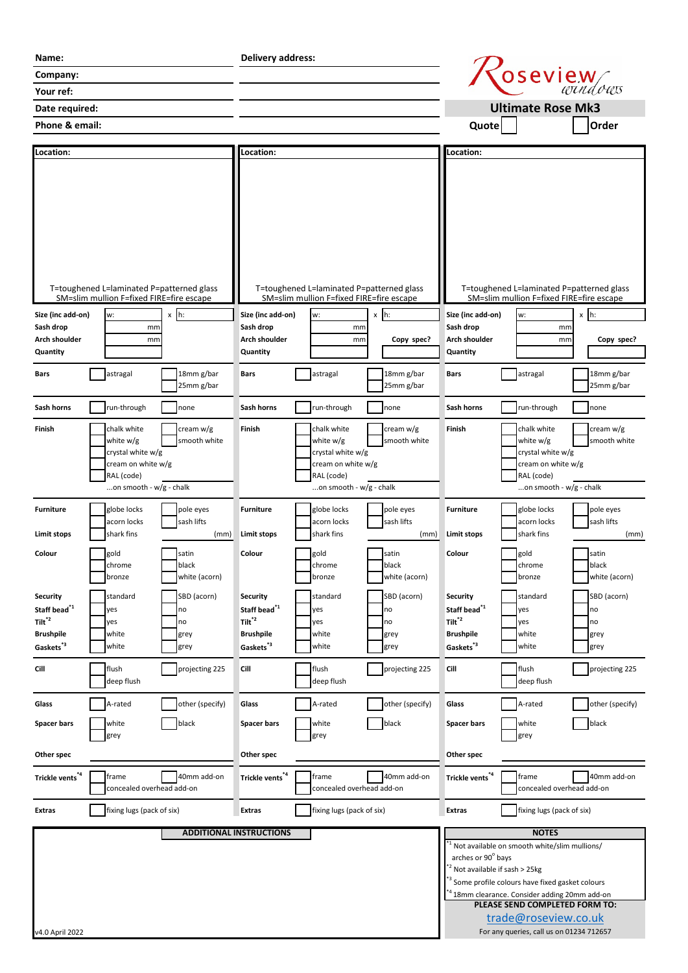| Name:                                                                                              |                                                                                                              |                                         | Delivery address:                                                                          |                                                                                                                                                                                                                                               |                                         |                                                                                                           |                                                                                                                |                                         |
|----------------------------------------------------------------------------------------------------|--------------------------------------------------------------------------------------------------------------|-----------------------------------------|--------------------------------------------------------------------------------------------|-----------------------------------------------------------------------------------------------------------------------------------------------------------------------------------------------------------------------------------------------|-----------------------------------------|-----------------------------------------------------------------------------------------------------------|----------------------------------------------------------------------------------------------------------------|-----------------------------------------|
| Company:                                                                                           |                                                                                                              |                                         |                                                                                            |                                                                                                                                                                                                                                               |                                         |                                                                                                           | <i>Coseview</i>                                                                                                |                                         |
| Your ref:                                                                                          |                                                                                                              |                                         |                                                                                            |                                                                                                                                                                                                                                               |                                         |                                                                                                           |                                                                                                                |                                         |
| Date required:                                                                                     |                                                                                                              |                                         |                                                                                            |                                                                                                                                                                                                                                               |                                         |                                                                                                           | <b>Ultimate Rose Mk3</b>                                                                                       |                                         |
| Phone & email:                                                                                     |                                                                                                              |                                         |                                                                                            |                                                                                                                                                                                                                                               |                                         | Quote                                                                                                     |                                                                                                                | Order                                   |
|                                                                                                    |                                                                                                              |                                         |                                                                                            |                                                                                                                                                                                                                                               |                                         |                                                                                                           |                                                                                                                |                                         |
| Location:                                                                                          |                                                                                                              |                                         | <b>Location:</b>                                                                           |                                                                                                                                                                                                                                               |                                         | Location:                                                                                                 |                                                                                                                |                                         |
|                                                                                                    |                                                                                                              |                                         |                                                                                            |                                                                                                                                                                                                                                               |                                         |                                                                                                           |                                                                                                                |                                         |
| T=toughened L=laminated P=patterned glass<br>SM=slim mullion F=fixed FIRE=fire escape              |                                                                                                              |                                         | T=toughened L=laminated P=patterned glass<br>SM=slim mullion F=fixed FIRE=fire escape      |                                                                                                                                                                                                                                               |                                         | T=toughened L=laminated P=patterned glass<br>SM=slim mullion F=fixed FIRE=fire escape                     |                                                                                                                |                                         |
| Size (inc add-on)                                                                                  | w:                                                                                                           | $x \, h$ :                              | Size (inc add-on)                                                                          | w:                                                                                                                                                                                                                                            | $x$ h:                                  | Size (inc add-on)                                                                                         | w:                                                                                                             | $x \ln$                                 |
| Sash drop                                                                                          | mm                                                                                                           |                                         | Sash drop                                                                                  | mm                                                                                                                                                                                                                                            |                                         | Sash drop                                                                                                 | mm                                                                                                             |                                         |
| Arch shoulder<br>Quantity                                                                          | mm                                                                                                           |                                         | Arch shoulder<br>Quantity                                                                  | mm                                                                                                                                                                                                                                            | Copy spec?                              | Arch shoulder<br>Quantity                                                                                 | mm                                                                                                             | Copy spec?                              |
|                                                                                                    |                                                                                                              |                                         |                                                                                            |                                                                                                                                                                                                                                               |                                         |                                                                                                           |                                                                                                                |                                         |
| Bars                                                                                               | astragal                                                                                                     | 18mm g/bar<br>25mm g/bar                | <b>Bars</b>                                                                                | astragal                                                                                                                                                                                                                                      | 18mm g/bar<br>25mm g/bar                | Bars                                                                                                      | astragal                                                                                                       | 18mm g/bar<br>25mm g/bar                |
| Sash horns                                                                                         | run-through                                                                                                  | none                                    | Sash horns                                                                                 | run-through                                                                                                                                                                                                                                   | none                                    | Sash horns                                                                                                | run-through                                                                                                    | none                                    |
| Finish                                                                                             | chalk white<br>white w/g<br>crystal white w/g<br>cream on white w/g<br>RAL (code)<br>on smooth - w/g - chalk | cream w/g<br>smooth white               | Finish                                                                                     | chalk white<br>white w/g<br>crystal white w/g<br>cream on white w/g<br>RAL (code)<br>on smooth - w/g - chalk                                                                                                                                  | cream w/g<br>smooth white               | Finish                                                                                                    | chalk white<br>white $w/g$<br>crystal white w/g<br>cream on white w/g<br>RAL (code)<br>on smooth - w/g - chalk | cream w/g<br>smooth white               |
|                                                                                                    |                                                                                                              |                                         |                                                                                            |                                                                                                                                                                                                                                               |                                         |                                                                                                           |                                                                                                                |                                         |
| <b>Furniture</b><br><b>Limit stops</b>                                                             | globe locks<br>acorn locks<br>shark fins                                                                     | pole eyes<br>sash lifts<br>(mm)         | <b>Furniture</b><br><b>Limit stops</b>                                                     | globe locks<br>acorn locks<br>shark fins                                                                                                                                                                                                      | pole eyes<br>sash lifts<br>(mm)         | <b>Furniture</b><br>Limit stops                                                                           | globe locks<br>acorn locks<br>shark fins                                                                       | pole eyes<br>sash lifts<br>(mm)         |
| Colour                                                                                             | gold                                                                                                         | satin                                   | Colour                                                                                     | gold                                                                                                                                                                                                                                          | satin                                   | Colour                                                                                                    | gold                                                                                                           | satin                                   |
|                                                                                                    | chrome                                                                                                       | black                                   |                                                                                            | chrome                                                                                                                                                                                                                                        | black                                   |                                                                                                           | chrome                                                                                                         | black                                   |
|                                                                                                    | bronze                                                                                                       | white (acorn)                           |                                                                                            | bronze                                                                                                                                                                                                                                        | white (acorn)                           |                                                                                                           | bronze                                                                                                         | white (acorn)                           |
| Security<br>Staff bead $^{\!\!41}$<br>$Tilt^{\ast 2}$<br><b>Brushpile</b><br>Gaskets <sup>*3</sup> | standard<br>yes<br>yes<br>white<br>white                                                                     | SBD (acorn)<br>no<br>no<br>grey<br>grey | Security<br>Staff bead $1$<br>$Tilt^{\ast 2}$<br><b>Brushpile</b><br>Gaskets <sup>*3</sup> | standard<br>yes<br>yes<br>white<br>white                                                                                                                                                                                                      | SBD (acorn)<br>no<br>no<br>grey<br>grey | Security<br>Staff bead $^{\!\!4}^{\!\!1}$<br>$Tilt^{\ast 2}$<br><b>Brushpile</b><br>Gaskets <sup>*3</sup> | standard<br>yes<br>yes<br>white<br>white                                                                       | SBD (acorn)<br>no<br>no<br>grey<br>grey |
| Cill                                                                                               | flush<br>deep flush                                                                                          | projecting 225                          | Cill                                                                                       | flush<br>deep flush                                                                                                                                                                                                                           | projecting 225                          | Cill                                                                                                      | flush<br>deep flush                                                                                            | projecting 225                          |
| Glass                                                                                              | A-rated                                                                                                      | other (specify)                         | Glass                                                                                      | A-rated                                                                                                                                                                                                                                       | other (specify)                         | Glass                                                                                                     | A-rated                                                                                                        | other (specify)                         |
| <b>Spacer bars</b>                                                                                 | white                                                                                                        | black                                   | Spacer bars                                                                                | white                                                                                                                                                                                                                                         | black                                   | <b>Spacer bars</b>                                                                                        | white                                                                                                          | black                                   |
| Other spec                                                                                         | grey                                                                                                         |                                         | Other spec                                                                                 | grey                                                                                                                                                                                                                                          |                                         | Other spec                                                                                                | grey                                                                                                           |                                         |
|                                                                                                    |                                                                                                              |                                         |                                                                                            |                                                                                                                                                                                                                                               |                                         |                                                                                                           |                                                                                                                |                                         |
| Trickle vents <sup>*4</sup>                                                                        | frame<br>concealed overhead add-on                                                                           | 40mm add-on                             | Trickle vents <sup>*4</sup>                                                                | frame<br>concealed overhead add-on                                                                                                                                                                                                            | 40mm add-on                             | Trickle vents <sup>*4</sup>                                                                               | frame<br>concealed overhead add-on                                                                             | 40mm add-on                             |
| Extras                                                                                             | fixing lugs (pack of six)                                                                                    |                                         | <b>Extras</b>                                                                              | fixing lugs (pack of six)                                                                                                                                                                                                                     |                                         | <b>Extras</b>                                                                                             | fixing lugs (pack of six)                                                                                      |                                         |
|                                                                                                    |                                                                                                              |                                         | <b>ADDITIONAL INSTRUCTIONS</b>                                                             |                                                                                                                                                                                                                                               |                                         |                                                                                                           | <b>NOTES</b>                                                                                                   |                                         |
|                                                                                                    |                                                                                                              |                                         |                                                                                            | Not available on smooth white/slim mullions/<br>arches or 90° bays<br><sup>*2</sup> Not available if sash > 25kg<br>* <sup>3</sup> Some profile colours have fixed gasket colours<br><sup>4</sup> 18mm clearance. Consider adding 20mm add-on |                                         |                                                                                                           |                                                                                                                |                                         |
|                                                                                                    |                                                                                                              |                                         |                                                                                            |                                                                                                                                                                                                                                               |                                         |                                                                                                           | PLEASE SEND COMPLETED FORM TO:<br>trade@roseview.co.uk                                                         |                                         |
| v4.0 April 2022                                                                                    |                                                                                                              |                                         |                                                                                            |                                                                                                                                                                                                                                               |                                         |                                                                                                           | For any queries, call us on 01234 712657                                                                       |                                         |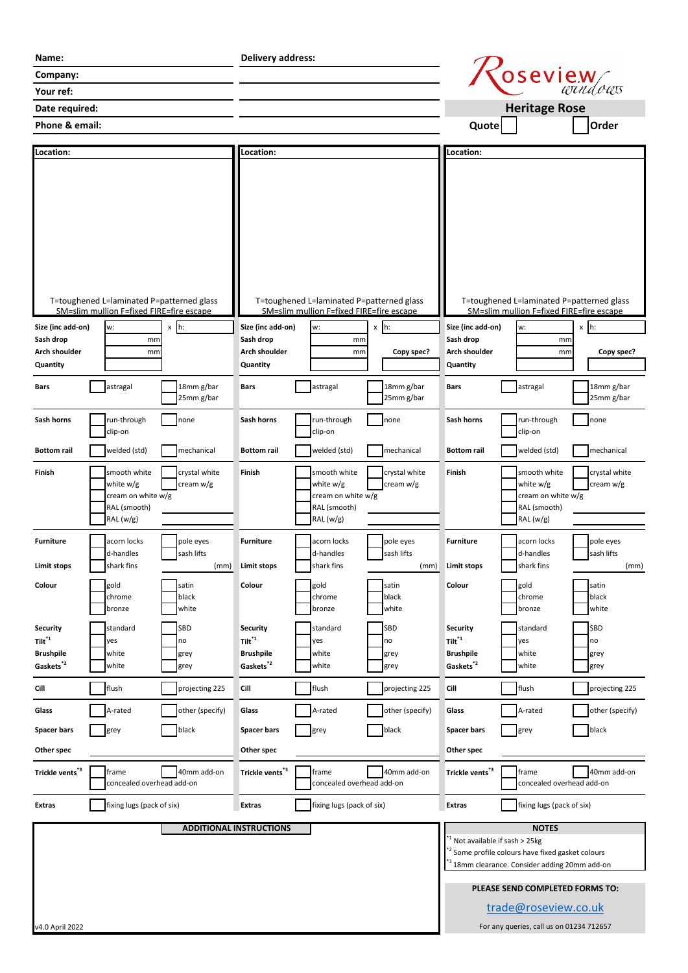| Name:                                     |                                                                                                   | <b>Delivery address:</b>     |                                     |                                                                                                   |                            |                                            |                                                                                                                                                                                                      |                            |
|-------------------------------------------|---------------------------------------------------------------------------------------------------|------------------------------|-------------------------------------|---------------------------------------------------------------------------------------------------|----------------------------|--------------------------------------------|------------------------------------------------------------------------------------------------------------------------------------------------------------------------------------------------------|----------------------------|
| Company:                                  |                                                                                                   |                              |                                     | Oseview                                                                                           |                            |                                            |                                                                                                                                                                                                      |                            |
| Your ref:                                 |                                                                                                   |                              |                                     |                                                                                                   |                            |                                            |                                                                                                                                                                                                      |                            |
| Date required:                            |                                                                                                   |                              |                                     |                                                                                                   |                            |                                            | <b>Heritage Rose</b>                                                                                                                                                                                 |                            |
| Phone & email:                            |                                                                                                   |                              |                                     |                                                                                                   |                            | Quote                                      |                                                                                                                                                                                                      | Order                      |
|                                           |                                                                                                   |                              |                                     |                                                                                                   |                            |                                            |                                                                                                                                                                                                      |                            |
| Location:                                 |                                                                                                   |                              | Location:                           |                                                                                                   |                            | <b>Location:</b>                           |                                                                                                                                                                                                      |                            |
| Size (inc add-on)<br>Sash drop            | T=toughened L=laminated P=patterned glass<br>SM=slim mullion F=fixed FIRE=fire escape<br>w:<br>mm | $x$ h:                       | Size (inc add-on)<br>Sash drop      | T=toughened L=laminated P=patterned glass<br>SM=slim mullion F=fixed FIRE=fire escape<br>w:<br>mm | $x \; h$ :                 | Size (inc add-on)<br>Sash drop             | T=toughened L=laminated P=patterned glass<br>SM=slim mullion F=fixed FIRE=fire escape<br>w:<br>mm                                                                                                    | $x$ h:                     |
| <b>Arch shoulder</b>                      | mm                                                                                                |                              | Arch shoulder                       | mm                                                                                                | Copy spec?                 | <b>Arch shoulder</b>                       | mm                                                                                                                                                                                                   | Copy spec?                 |
| Quantity                                  |                                                                                                   |                              | Quantity                            |                                                                                                   |                            | Quantity                                   |                                                                                                                                                                                                      |                            |
| Bars                                      | astragal                                                                                          | 18mm g/bar<br>25mm g/bar     | <b>Bars</b>                         | astragal                                                                                          | 18mm g/bar<br>25mm g/bar   | Bars                                       | astragal                                                                                                                                                                                             | 18mm g/bar<br>25mm g/bar   |
| Sash horns                                | run-through<br>clip-on                                                                            | none                         | Sash horns                          | run-through<br>clip-on                                                                            | none                       | Sash horns                                 | run-through<br>clip-on                                                                                                                                                                               | none                       |
| <b>Bottom</b> rail                        | welded (std)                                                                                      | mechanical                   | <b>Bottom rail</b>                  | welded (std)                                                                                      | mechanical                 | <b>Bottom rail</b>                         | welded (std)                                                                                                                                                                                         | mechanical                 |
| Finish                                    | smooth white<br>white w/g<br>cream on white w/g<br>RAL (smooth)<br>RAL(w/g)                       | crystal white<br>cream $w/g$ | Finish                              | smooth white<br>white w/g<br>cream on white w/g<br>RAL (smooth)<br>RAL (w/g)                      | crystal white<br>cream w/g | Finish                                     | smooth white<br>white w/g<br>cream on white w/g<br>RAL (smooth)<br>RAL (w/g)                                                                                                                         | crystal white<br>cream w/g |
| <b>Furniture</b>                          | acorn locks<br>d-handles                                                                          | pole eyes<br>sash lifts      | <b>Furniture</b>                    | acorn locks<br>d-handles                                                                          | pole eyes<br>sash lifts    | <b>Furniture</b>                           | acorn locks<br>d-handles                                                                                                                                                                             | pole eyes<br>sash lifts    |
| <b>Limit stops</b>                        | shark fins                                                                                        | (mm)                         | <b>Limit stops</b>                  | shark fins                                                                                        | (mm)                       | <b>Limit stops</b>                         | shark fins                                                                                                                                                                                           | (mm)                       |
| Colour                                    | gold<br>chrome<br>bronze                                                                          | satin<br>black<br>white      | Colour                              | gold<br>chrome<br>bronze                                                                          | satin<br>black<br>white    | Colour                                     | gold<br>chrome<br>bronze                                                                                                                                                                             | satin<br>black<br>white    |
| <b>Security</b>                           | standard                                                                                          | SBD                          | <b>Security</b>                     | standard                                                                                          | SBD                        | <b>Security</b>                            | standard                                                                                                                                                                                             | SBD                        |
| $\mathsf{Tilt}^{*1}$                      | yes                                                                                               | no                           | $Tilt^{\ast 1}$<br><b>Brushpile</b> | yes<br>white                                                                                      | no                         | $Tilt^{\ast 1}$<br><b>Brushpile</b>        | yes                                                                                                                                                                                                  | no                         |
| <b>Brushpile</b><br>Gaskets <sup>*2</sup> | white<br>white                                                                                    | grey<br>grey                 | Gaskets <sup>*2</sup>               | white                                                                                             | grey<br>grey               | Gaskets <sup>*2</sup>                      | white<br>white                                                                                                                                                                                       | grey<br>grey               |
| Cill                                      | flush                                                                                             | projecting 225               | Cill                                | flush                                                                                             | projecting 225             | Cill                                       | flush                                                                                                                                                                                                | projecting 225             |
| Glass                                     | A-rated                                                                                           | other (specify)              | Glass                               | A-rated                                                                                           | other (specify)            | Glass                                      | A-rated                                                                                                                                                                                              | other (specify)            |
| <b>Spacer bars</b>                        | grey                                                                                              | black                        | <b>Spacer bars</b>                  | grey                                                                                              | black                      | <b>Spacer bars</b>                         | grey                                                                                                                                                                                                 | black                      |
| Other spec                                |                                                                                                   |                              | Other spec                          |                                                                                                   |                            | Other spec                                 |                                                                                                                                                                                                      |                            |
| Trickle vents*3                           | frame                                                                                             | 40mm add-on                  | Trickle vents*3                     | frame                                                                                             | 40mm add-on                | Trickle vents <sup>*3</sup>                | frame                                                                                                                                                                                                | 40mm add-on                |
|                                           | concealed overhead add-on                                                                         |                              |                                     | concealed overhead add-on                                                                         |                            |                                            | concealed overhead add-on                                                                                                                                                                            |                            |
| <b>Extras</b>                             | fixing lugs (pack of six)                                                                         |                              | <b>Extras</b>                       | fixing lugs (pack of six)                                                                         |                            | <b>Extras</b>                              | fixing lugs (pack of six)                                                                                                                                                                            |                            |
|                                           |                                                                                                   |                              | <b>ADDITIONAL INSTRUCTIONS</b>      |                                                                                                   |                            | <sup>'1</sup> Not available if sash > 25kg | <b>NOTES</b><br><sup>*2</sup> Some profile colours have fixed gasket colours<br><sup>*3</sup> 18mm clearance. Consider adding 20mm add-on<br>PLEASE SEND COMPLETED FORMS TO:<br>trade@roseview.co.uk |                            |
| v4.0 April 2022                           |                                                                                                   |                              |                                     |                                                                                                   |                            |                                            | For any queries, call us on 01234 712657                                                                                                                                                             |                            |